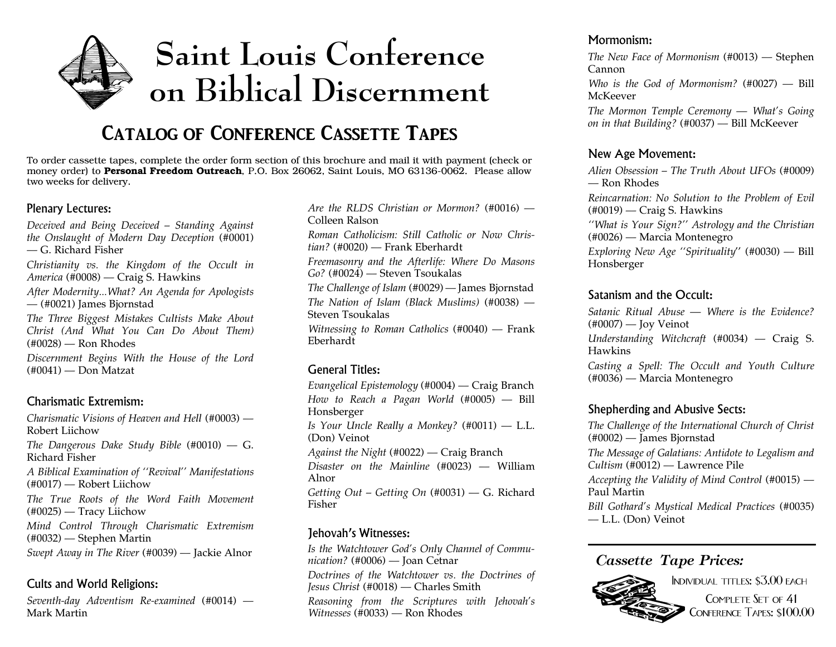

## **Catalog of Conference Cassette Tapes**

To order cassette tapes, complete the order form section of this brochure and mail it with paymen<sup>t</sup> (check or money order) to **Personal Freedom Outreach**, P.O. Box 26062, Saint Louis, MO 63136-0062. Please allow two weeks for delivery.

#### Plenary Lectures:

*Deceived and Being Deceived – Standing Against the Onslaught of Modern Day Deception* (#0001) — G. Richard Fisher

*Christianity vs. the Kingdom of the Occult in America* (#0008) — Craig S. Hawkins

*After Modernity...What? An Agenda for Apologists* — (#0021) James Bjornstad

*The Three Biggest Mistakes Cultists Make About Christ (And What You Can Do About Them)* (#0028) — Ron Rhodes

*Discernment Begins With the House of the Lord* (#0041) — Don Matzat

#### Charismatic Extremism:

*Charismatic Visions of Heaven and Hell* (#0003) — Robert Liichow*The Dangerous Dake Study Bible* (#0010) — G. Richard Fisher*A Biblical Examination of ''Revival'' Manifestations* (#0017) — Robert Liichow *The True Roots of the Word Faith Movement* (#0025) — Tracy Liichow *Mind Control Through Charismatic Extremism* (#0032) — Stephen Martin *Swept Away in The River* (#0039) — Jackie Alnor

#### Cults and World Religions:

*Seventh-day Adventism Re-examined* (#0014) — Mark Martin

*Are the RLDS Christian or Mormon?* (#0016) — Colleen Ralson*Roman Catholicism: Still Catholic or Now Christian?* (#0020) — Frank Eberhardt *Freemasonry and the Afterlife: Where Do Masons Go?* (#0024) — Steven Tsoukalas *The Challenge of Islam* (#0029) — James Bjornstad *The Nation of Islam (Black Muslims)* (#0038) — Steven Tsoukalas*Witnessing to Roman Catholics* (#0040) — Frank Eberhardt

#### General Titles:

*Evangelical Epistemology* (#0004) — Craig Branch *How to Reach <sup>a</sup> Pagan World* (#0005) — Bill Honsberger *Is Your Uncle Really <sup>a</sup> Monkey?* (#0011) — L.L. (Don) Veinot *Against the Night* (#0022) — Craig Branch *Disaster on the Mainline* (#0023) — William Alnor*Getting Out – Getting On* (#0031) — G. Richard Fisher

#### Jehovah's Witnesses:

*Is the Watchtower God's Only Channel of Communication?* (#0006) — Joan Cetnar *Doctrines of the Watchtower vs. the Doctrines of Jesus Christ* (#0018) — Charles Smith *Reasoning from the Scriptures with Jehovah's Witnesses* (#0033) — Ron Rhodes

#### Mormonism:

*The New Face of Mormonism* (#0013) — Stephen Cannon*Who is the God of Mormonism?* (#0027) — Bill

McKeever

*The Mormon Temple Ceremony — What's Going on in that Building?* (#0037) — Bill McKeever

#### New Age Movement:

*Alien Obsession – The Truth About UFOs* (#0009) — Ron Rhodes*Reincarnation: No Solution to the Problem of Evil* (#0019) — Craig S. Hawkins *''What is Your Sign?'' Astrology and the Christian* (#0026) — Marcia Montenegro *Exploring New Age ''Spirituality*'' (#0030) — Bill Honsberger

#### Satanism and the Occult:

*Satanic Ritual Abuse — Where is the Evidence?* $(\text{\#}0007)$  — Joy Veinot *Understanding Witchcraft* (#0034) — Craig S. Hawkins

*Casting <sup>a</sup> Spell: The Occult and Youth Culture* (#0036) — Marcia Montenegro

#### Shepherding and Abusive Sects:

*The Challenge of the International Church of Christ* (#0002) — James Bjornstad *The Message of Galatians: Antidote to Legalism and Cultism* (#0012) — Lawrence Pile

*Accepting the Validity of Mind Control* (#0015) — Paul Martin

*Bill Gothard's Mystical Medical Practices* (#0035) — L.L. (Don) Veinot

#### *Cassette Tape Prices:*



Individual titles: \$3.00 each COMPLETE SET OF 41 Conference Tapes: \$100.00